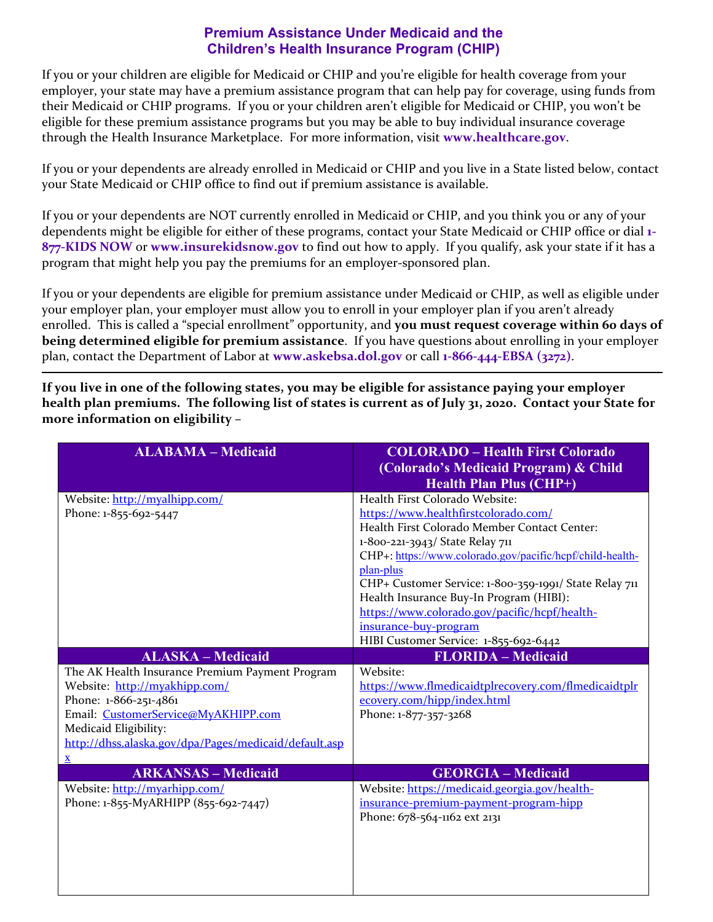## **Premium Assistance Under Medicaid and the Children's Health Insurance Program (CHIP)**

If you or your children are eligible for Medicaid or CHIP and you're eligible for health coverage from your employer, your state may have a premium assistance program that can help pay for coverage, using funds from their Medicaid or CHIP programs. If you or your children aren't eligible for Medicaid or CHIP, you won't be eligible for these premium assistance programs but you may be able to buy individual insurance coverage through the Health Insurance Marketplace. For more information, visit **www.healthcare.gov**.

If you or your dependents are already enrolled in Medicaid or CHIP and you live in a State listed below, contact your State Medicaid or CHIP office to find out if premium assistance is available.

If you or your dependents are NOT currently enrolled in Medicaid or CHIP, and you think you or any of your dependents might be eligible for either of these programs, contact your State Medicaid or CHIP office or dial **1‐ 877‐KIDS NOW** or **www.insurekidsnow.gov** to find out how to apply. If you qualify, ask your state if it has a program that might help you pay the premiums for an employer-sponsored plan.

If you or your dependents are eligible for premium assistance under Medicaid or CHIP, as well as eligible under your employer plan, your employer must allow you to enroll in your employer plan if you aren't already enrolled. This is called a "special enrollment" opportunity, and **you must request coverage within 60 days of being determined eligible for premium assistance**. If you have questions about enrolling in your employer plan, contact the Department of Labor at **www.askebsa.dol.gov** or call **1‐866‐444‐EBSA (3272)**.

If you live in one of the following states, you may be eligible for assistance paying your employer health plan premiums. The following list of states is current as of July 31, 2020. Contact your State for **more information on eligibility –**

| <b>ALABAMA - Medicaid</b>                             | <b>COLORADO - Health First Colorado</b><br>(Colorado's Medicaid Program) & Child |
|-------------------------------------------------------|----------------------------------------------------------------------------------|
|                                                       | <b>Health Plan Plus (CHP+)</b>                                                   |
| Website: http://myalhipp.com/                         | Health First Colorado Website:                                                   |
| Phone: 1-855-692-5447                                 | https://www.healthfirstcolorado.com/                                             |
|                                                       | Health First Colorado Member Contact Center:                                     |
|                                                       | 1-800-221-3943/ State Relay 711                                                  |
|                                                       | CHP+: https://www.colorado.gov/pacific/hcpf/child-health-                        |
|                                                       | plan-plus                                                                        |
|                                                       | CHP+ Customer Service: 1-800-359-1991/ State Relay 711                           |
|                                                       | Health Insurance Buy-In Program (HIBI):                                          |
|                                                       | https://www.colorado.gov/pacific/hcpf/health-                                    |
|                                                       | insurance-buy-program                                                            |
|                                                       | HIBI Customer Service: 1-855-692-6442                                            |
| <b>ALASKA - Medicaid</b>                              | <b>FLORIDA - Medicaid</b>                                                        |
| The AK Health Insurance Premium Payment Program       | Website:                                                                         |
| Website: http://myakhipp.com/                         | https://www.flmedicaidtplrecovery.com/flmedicaidtplr                             |
| Phone: 1-866-251-4861                                 | ecovery.com/hipp/index.html                                                      |
| Email: CustomerService@MyAKHIPP.com                   | Phone: 1-877-357-3268                                                            |
| Medicaid Eligibility:                                 |                                                                                  |
| http://dhss.alaska.gov/dpa/Pages/medicaid/default.asp |                                                                                  |
| $\underline{\mathbf{X}}$                              |                                                                                  |
| <b>ARKANSAS - Medicaid</b>                            | <b>GEORGIA - Medicaid</b>                                                        |
| Website: http://myarhipp.com/                         | Website: https://medicaid.georgia.gov/health-                                    |
| Phone: 1-855-MyARHIPP (855-692-7447)                  | insurance-premium-payment-program-hipp                                           |
|                                                       | Phone: 678-564-1162 ext 2131                                                     |
|                                                       |                                                                                  |
|                                                       |                                                                                  |
|                                                       |                                                                                  |
|                                                       |                                                                                  |
|                                                       |                                                                                  |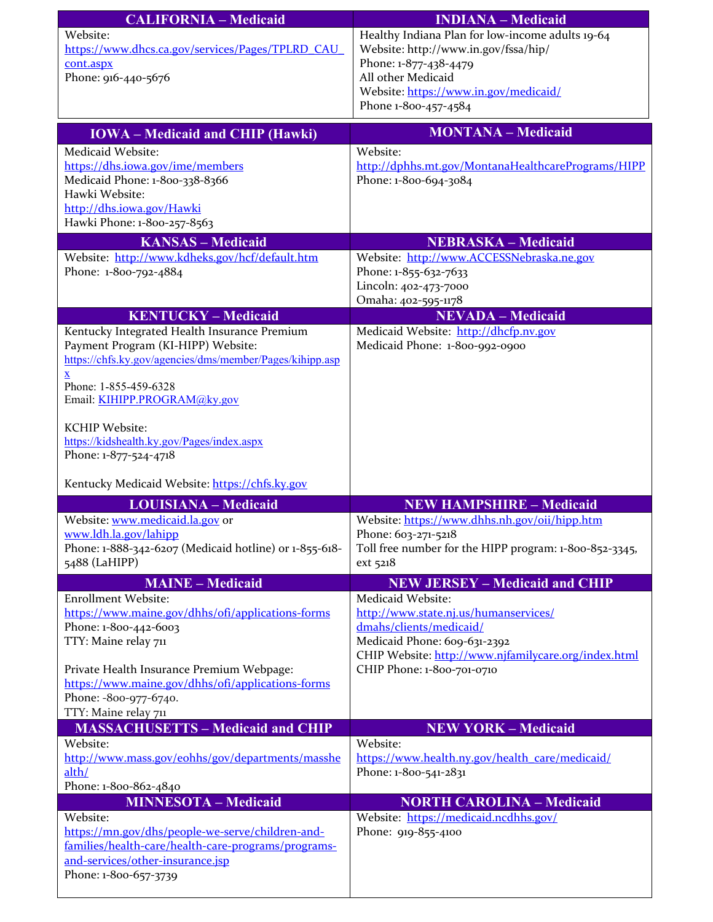| <b>CALIFORNIA – Medicaid</b>                     | <b>INDIANA</b> – Medicaid                        |
|--------------------------------------------------|--------------------------------------------------|
| Website:                                         | Healthy Indiana Plan for low-income adults 19-64 |
| https://www.dhcs.ca.gov/services/Pages/TPLRD CAU | Website: http://www.in.gov/fssa/hip/             |
| cont.aspx                                        | Phone: 1-877-438-4479                            |
| Phone: 916-440-5676                              | All other Medicaid                               |
|                                                  | Website: https://www.in.gov/medicaid/            |
|                                                  | Phone 1-800-457-4584                             |

| <b>IOWA</b> – Medicaid and CHIP (Hawki)                                                        | <b>MONTANA - Medicaid</b>                                                 |
|------------------------------------------------------------------------------------------------|---------------------------------------------------------------------------|
| Medicaid Website:                                                                              | Website:                                                                  |
| https://dhs.iowa.gov/ime/members                                                               | http://dphhs.mt.gov/MontanaHealthcarePrograms/HIPP                        |
| Medicaid Phone: 1-800-338-8366                                                                 | Phone: 1-800-694-3084                                                     |
| Hawki Website:                                                                                 |                                                                           |
| http://dhs.iowa.gov/Hawki<br>Hawki Phone: 1-800-257-8563                                       |                                                                           |
| <b>KANSAS - Medicaid</b>                                                                       | <b>NEBRASKA - Medicaid</b>                                                |
| Website: http://www.kdheks.gov/hcf/default.htm                                                 | Website: http://www.ACCESSNebraska.ne.gov                                 |
| Phone: 1-800-792-4884                                                                          | Phone: 1-855-632-7633                                                     |
|                                                                                                | Lincoln: 402-473-7000                                                     |
|                                                                                                | Omaha: 402-595-1178                                                       |
| <b>KENTUCKY - Medicaid</b>                                                                     | <b>NEVADA</b> - Medicaid                                                  |
| Kentucky Integrated Health Insurance Premium                                                   | Medicaid Website: http://dhcfp.nv.gov                                     |
| Payment Program (KI-HIPP) Website:<br>https://chfs.ky.gov/agencies/dms/member/Pages/kihipp.asp | Medicaid Phone: 1-800-992-0900                                            |
| $\underline{\mathbf{X}}$                                                                       |                                                                           |
| Phone: 1-855-459-6328                                                                          |                                                                           |
| Email: KIHIPP.PROGRAM@ky.gov                                                                   |                                                                           |
| <b>KCHIP Website:</b>                                                                          |                                                                           |
| https://kidshealth.ky.gov/Pages/index.aspx                                                     |                                                                           |
| Phone: 1-877-524-4718                                                                          |                                                                           |
|                                                                                                |                                                                           |
| Kentucky Medicaid Website: https://chfs.ky.gov                                                 |                                                                           |
| <b>LOUISIANA - Medicaid</b>                                                                    | <b>NEW HAMPSHIRE - Medicaid</b>                                           |
| Website: www.medicaid.la.gov or                                                                | Website: https://www.dhhs.nh.gov/oii/hipp.htm                             |
| www.ldh.la.gov/lahipp                                                                          | Phone: 603-271-5218                                                       |
| Phone: 1-888-342-6207 (Medicaid hotline) or 1-855-618-<br>5488 (LaHIPP)                        | Toll free number for the HIPP program: 1-800-852-3345,<br>ext 5218        |
|                                                                                                |                                                                           |
| <b>MAINE - Medicaid</b><br><b>Enrollment Website:</b>                                          | <b>NEW JERSEY - Medicaid and CHIP</b><br>Medicaid Website:                |
| https://www.maine.gov/dhhs/ofi/applications-forms                                              | http://www.state.nj.us/humanservices/                                     |
| Phone: 1-800-442-6003                                                                          | dmahs/clients/medicaid/                                                   |
| TTY: Maine relay 711                                                                           | Medicaid Phone: 609-631-2392                                              |
|                                                                                                | CHIP Website: http://www.njfamilycare.org/index.html                      |
| Private Health Insurance Premium Webpage:                                                      | CHIP Phone: 1-800-701-0710                                                |
| https://www.maine.gov/dhhs/ofi/applications-forms<br>Phone: -800-977-6740.                     |                                                                           |
| TTY: Maine relay 711                                                                           |                                                                           |
| <b>MASSACHUSETTS - Medicaid and CHIP</b>                                                       | <b>NEW YORK - Medicaid</b>                                                |
| Website:                                                                                       | Website:                                                                  |
| http://www.mass.gov/eohhs/gov/departments/masshe                                               | https://www.health.ny.gov/health_care/medicaid/                           |
| alth/                                                                                          | Phone: 1-800-541-2831                                                     |
| Phone: 1-800-862-4840<br><b>MINNESOTA - Medicaid</b>                                           |                                                                           |
| Website:                                                                                       | <b>NORTH CAROLINA - Medicaid</b><br>Website: https://medicaid.ncdhhs.gov/ |
| https://mn.gov/dhs/people-we-serve/children-and-                                               | Phone: 919-855-4100                                                       |
| families/health-care/health-care-programs/programs-                                            |                                                                           |
| and-services/other-insurance.jsp                                                               |                                                                           |
| Phone: 1-800-657-3739                                                                          |                                                                           |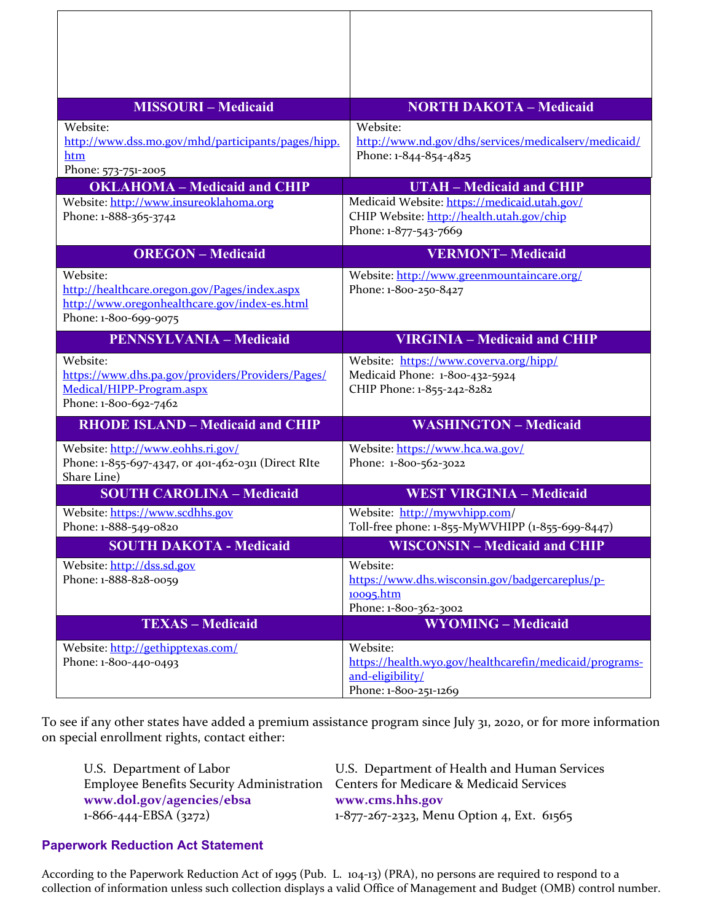| <b>MISSOURI-Medicaid</b>                                                                                                            | <b>NORTH DAKOTA - Medicaid</b>                                                                                     |
|-------------------------------------------------------------------------------------------------------------------------------------|--------------------------------------------------------------------------------------------------------------------|
| Website:<br>http://www.dss.mo.gov/mhd/participants/pages/hipp.<br>htm<br>Phone: 573-751-2005                                        | Website:<br>http://www.nd.gov/dhs/services/medicalserv/medicaid/<br>Phone: 1-844-854-4825                          |
| <b>OKLAHOMA</b> - Medicaid and CHIP                                                                                                 | <b>UTAH - Medicaid and CHIP</b>                                                                                    |
| Website: http://www.insureoklahoma.org<br>Phone: 1-888-365-3742                                                                     | Medicaid Website: https://medicaid.utah.gov/<br>CHIP Website: http://health.utah.gov/chip<br>Phone: 1-877-543-7669 |
| <b>OREGON</b> - Medicaid                                                                                                            | <b>VERMONT-Medicaid</b>                                                                                            |
| Website:<br>http://healthcare.oregon.gov/Pages/index.aspx<br>http://www.oregonhealthcare.gov/index-es.html<br>Phone: 1-800-699-9075 | Website: http://www.greenmountaincare.org/<br>Phone: 1-800-250-8427                                                |
| <b>PENNSYLVANIA - Medicaid</b>                                                                                                      | <b>VIRGINIA - Medicaid and CHIP</b>                                                                                |
| Website:<br>https://www.dhs.pa.gov/providers/Providers/Pages/<br>Medical/HIPP-Program.aspx<br>Phone: 1-800-692-7462                 | Website: https://www.coverva.org/hipp/<br>Medicaid Phone: 1-800-432-5924<br>CHIP Phone: 1-855-242-8282             |
| <b>RHODE ISLAND - Medicaid and CHIP</b>                                                                                             | <b>WASHINGTON - Medicaid</b>                                                                                       |
| Website: http://www.eohhs.ri.gov/<br>Phone: 1-855-697-4347, or 401-462-0311 (Direct RIte<br>Share Line)                             | Website: https://www.hca.wa.gov/<br>Phone: 1-800-562-3022                                                          |
| <b>SOUTH CAROLINA - Medicaid</b>                                                                                                    | <b>WEST VIRGINIA - Medicaid</b>                                                                                    |
| Website: https://www.scdhhs.gov<br>Phone: 1-888-549-0820                                                                            | Website: http://mywyhipp.com/<br>Toll-free phone: 1-855-MyWVHIPP (1-855-699-8447)                                  |
| <b>SOUTH DAKOTA - Medicaid</b>                                                                                                      | <b>WISCONSIN - Medicaid and CHIP</b>                                                                               |
| Website: http://dss.sd.gov<br>Phone: 1-888-828-0059                                                                                 | Website:<br>https://www.dhs.wisconsin.gov/badgercareplus/p-<br>10095.htm<br>Phone: 1-800-362-3002                  |
| <b>TEXAS - Medicaid</b>                                                                                                             | <b>WYOMING - Medicaid</b>                                                                                          |
| Website: http://gethipptexas.com/<br>Phone: 1-800-440-0493                                                                          | Website:<br>https://health.wyo.gov/healthcarefin/medicaid/programs-<br>and-eligibility/<br>Phone: 1-800-251-1269   |

To see if any other states have added a premium assistance program since July 31, 2020, or for more information on special enrollment rights, contact either:

| U.S. Department of Labor                                                           | U.S. Department of Health and Human Services |
|------------------------------------------------------------------------------------|----------------------------------------------|
| Employee Benefits Security Administration Centers for Medicare & Medicaid Services |                                              |
| www.dol.gov/agencies/ebsa                                                          | www.cms.hhs.gov                              |
| $1-866-444-EBSA(3272)$                                                             | 1-877-267-2323, Menu Option 4, Ext. 61565    |

## **Paperwork Reduction Act Statement**

According to the Paperwork Reduction Act of 1995 (Pub. L. 104‐13) (PRA), no persons are required to respond to a collection of information unless such collection displays a valid Office of Management and Budget (OMB) control number.